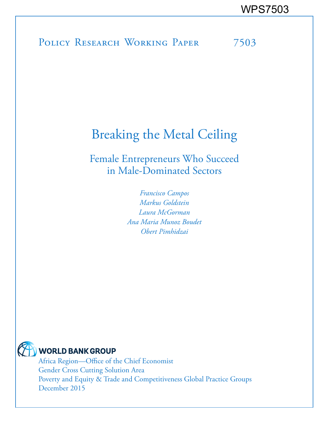# POLICY RESEARCH WORKING PAPER 7503

# Breaking the Metal Ceiling

Female Entrepreneurs Who Succeed in Male-Dominated Sectors

> *Francisco Campos Markus Goldstein Laura McGorman Ana Maria Munoz Boudet Obert Pimhidzai*



## **WORLD BANK GROUP**

Africa Region—Office of the Chief Economist Gender Cross Cutting Solution Area Poverty and Equity & Trade and Competitiveness Global Practice Groups December 2015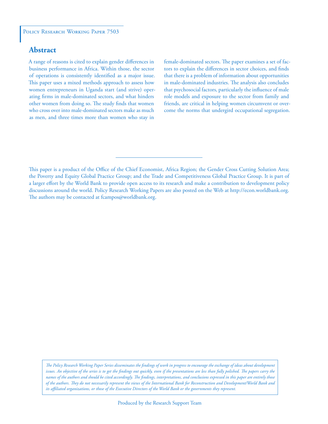### **Abstract**

A range of reasons is cited to explain gender differences in business performance in Africa. Within those, the sector of operations is consistently identified as a major issue. This paper uses a mixed methods approach to assess how women entrepreneurs in Uganda start (and strive) operating firms in male-dominated sectors, and what hinders other women from doing so. The study finds that women who cross over into male-dominated sectors make as much as men, and three times more than women who stay in

female-dominated sectors. The paper examines a set of factors to explain the differences in sector choices, and finds that there is a problem of information about opportunities in male-dominated industries. The analysis also concludes that psychosocial factors, particularly the influence of male role models and exposure to the sector from family and friends, are critical in helping women circumvent or overcome the norms that undergird occupational segregation.

This paper is a product of the Office of the Chief Economist, Africa Region; the Gender Cross Cutting Solution Area; the Poverty and Equity Global Practice Group; and the Trade and Competitiveness Global Practice Group. It is part of a larger effort by the World Bank to provide open access to its research and make a contribution to development policy discussions around the world. Policy Research Working Papers are also posted on the Web at http://econ.worldbank.org. The authors may be contacted at fcampos@worldbank.org.

*The Policy Research Working Paper Series disseminates the findings of work in progress to encourage the exchange of ideas about development*  issues. An objective of the series is to get the findings out quickly, even if the presentations are less than fully polished. The papers carry the *names of the authors and should be cited accordingly. The findings, interpretations, and conclusions expressed in this paper are entirely those of the authors. They do not necessarily represent the views of the International Bank for Reconstruction and Development/World Bank and its affiliated organizations, or those of the Executive Directors of the World Bank or the governments they represent.*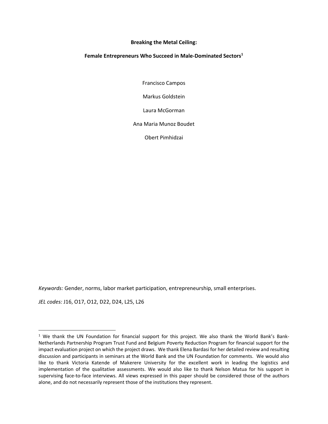#### **Breaking the Metal Ceiling:**

#### **Female Entrepreneurs Who Succeed in Male‐Dominated Sectors1**

Francisco Campos

Markus Goldstein

Laura McGorman

Ana Maria Munoz Boudet

Obert Pimhidzai

*Keywords:* Gender, norms, labor market participation, entrepreneurship, small enterprises.

*JEL codes:* J16, O17, O12, D22, D24, L25, L26

<sup>&</sup>lt;sup>1</sup> We thank the UN Foundation for financial support for this project. We also thank the World Bank's Bank-Netherlands Partnership Program Trust Fund and Belgium Poverty Reduction Program for financial support for the impact evaluation project on which the project draws. We thank Elena Bardasi for her detailed review and resulting discussion and participants in seminars at the World Bank and the UN Foundation for comments. We would also like to thank Victoria Katende of Makerere University for the excellent work in leading the logistics and implementation of the qualitative assessments. We would also like to thank Nelson Matua for his support in supervising face‐to‐face interviews. All views expressed in this paper should be considered those of the authors alone, and do not necessarily represent those of the institutions they represent.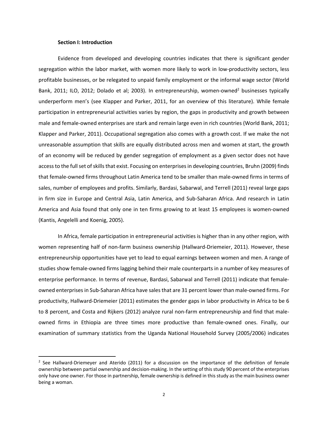#### **Section I: Introduction**

Evidence from developed and developing countries indicates that there is significant gender segregation within the labor market, with women more likely to work in low-productivity sectors, less profitable businesses, or be relegated to unpaid family employment or the informal wage sector (World Bank, 2011; ILO, 2012; Dolado et al; 2003). In entrepreneurship, women-owned<sup>2</sup> businesses typically underperform men's (see Klapper and Parker, 2011, for an overview of this literature). While female participation in entrepreneurial activities varies by region, the gaps in productivity and growth between male and female-owned enterprises are stark and remain large even in rich countries (World Bank, 2011; Klapper and Parker, 2011). Occupational segregation also comes with a growth cost. If we make the not unreasonable assumption that skills are equally distributed across men and women at start, the growth of an economy will be reduced by gender segregation of employment as a given sector does not have access to the full set of skills that exist. Focusing on enterprises in developing countries, Bruhn (2009) finds that female‐owned firms throughout Latin America tend to be smaller than male‐owned firms in terms of sales, number of employees and profits. Similarly, Bardasi, Sabarwal, and Terrell (2011) reveal large gaps in firm size in Europe and Central Asia, Latin America, and Sub‐Saharan Africa. And research in Latin America and Asia found that only one in ten firms growing to at least 15 employees is women‐owned (Kantis, Angelelli and Koenig, 2005).

In Africa, female participation in entrepreneurial activities is higher than in any other region, with women representing half of non-farm business ownership (Hallward-Driemeier, 2011). However, these entrepreneurship opportunities have yet to lead to equal earnings between women and men. A range of studies show female‐owned firms lagging behind their male counterparts in a number of key measures of enterprise performance. In terms of revenue, Bardasi, Sabarwal and Terrell (2011) indicate that female‐ owned enterprisesin Sub‐Saharan Africa have salesthat are 31 percent lower than male‐owned firms. For productivity, Hallward‐Driemeier (2011) estimates the gender gaps in labor productivity in Africa to be 6 to 8 percent, and Costa and Rijkers (2012) analyze rural non-farm entrepreneurship and find that maleowned firms in Ethiopia are three times more productive than female-owned ones. Finally, our examination of summary statistics from the Uganda National Household Survey (2005/2006) indicates

<sup>&</sup>lt;sup>2</sup> See Hallward-Driemeyer and Aterido (2011) for a discussion on the importance of the definition of female ownership between partial ownership and decision‐making. In the setting of this study 90 percent of the enterprises only have one owner. For those in partnership, female ownership is defined in this study as the main business owner being a woman.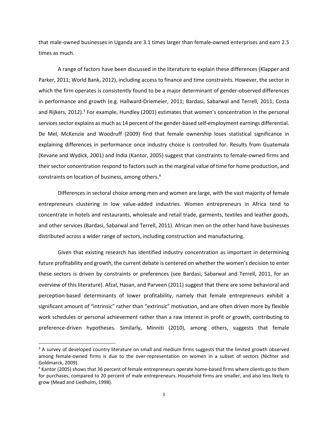that male‐owned businesses in Uganda are 3.1 times larger than female‐owned enterprises and earn 2.5 times as much.

A range of factors have been discussed in the literature to explain these differences (Klapper and Parker, 2011; World Bank, 2012), including access to finance and time constraints. However, the sector in which the firm operates is consistently found to be a major determinant of gender-observed differences in performance and growth (e.g. Hallward‐Driemeier, 2011; Bardasi, Sabarwal and Terrell, 2011; Costa and Rijkers, 2012).<sup>3</sup> For example, Hundley (2001) estimates that women's concentration in the personal services sector explains as much as 14 percent of the gender-based self-employment earnings differential. De Mel, McKenzie and Woodruff (2009) find that female ownership loses statistical significance in explaining differences in performance once industry choice is controlled for. Results from Guatemala (Kevane and Wydick, 2001) and India (Kantor, 2005) suggest that constraints to female‐owned firms and their sector concentration respond to factors such as the marginal value of time for home production, and constraints on location of business, among others.4

Differences in sectoral choice among men and women are large, with the vast majority of female entrepreneurs clustering in low value‐added industries. Women entrepreneurs in Africa tend to concentrate in hotels and restaurants, wholesale and retail trade, garments, textiles and leather goods, and other services (Bardasi, Sabarwal and Terrell, 2011). African men on the other hand have businesses distributed across a wider range of sectors, including construction and manufacturing.

Given that existing research has identified industry concentration as important in determining future profitability and growth, the current debate is centered on whether the women's decision to enter these sectors is driven by constraints or preferences (see Bardasi, Sabarwal and Terrell, 2011, for an overview of this literature). Afzal, Hasan, and Parveen (2011) suggest that there are some behavioral and perception‐based determinants of lower profitability, namely that female entrepreneurs exhibit a significant amount of "intrinsic" rather than "extrinsic" motivation, and are often driven more by flexible work schedules or personal achievement rather than a raw interest in profit or growth, contributing to preference-driven hypotheses. Similarly, Minniti (2010), among others, suggests that female

<sup>&</sup>lt;sup>3</sup> A survey of developed country literature on small and medium firms suggests that the limited growth observed among female-owned firms is due to the over-representation on women in a subset of sectors (Nichter and Goldmarck, 2009).

<sup>&</sup>lt;sup>4</sup> Kantor (2005) shows that 36 percent of female entrepreneurs operate home-based firms where clients go to them for purchases, compared to 20 percent of male entrepreneurs. Household firms are smaller, and also less likely to grow (Mead and Liedholm, 1998).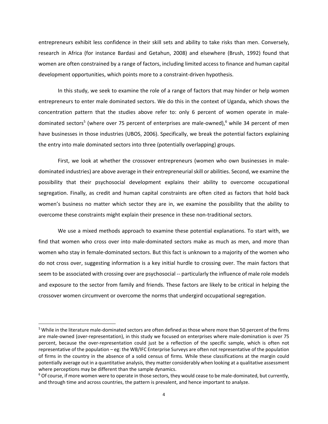entrepreneurs exhibit less confidence in their skill sets and ability to take risks than men. Conversely, research in Africa (for instance Bardasi and Getahun, 2008) and elsewhere (Brush, 1992) found that women are often constrained by a range of factors, including limited access to finance and human capital development opportunities, which points more to a constraint‐driven hypothesis.

In this study, we seek to examine the role of a range of factors that may hinder or help women entrepreneurs to enter male dominated sectors. We do this in the context of Uganda, which shows the concentration pattern that the studies above refer to: only 6 percent of women operate in male‐ dominated sectors<sup>5</sup> (where over 75 percent of enterprises are male-owned),<sup>6</sup> while 34 percent of men have businesses in those industries (UBOS, 2006). Specifically, we break the potential factors explaining the entry into male dominated sectors into three (potentially overlapping) groups.

First, we look at whether the crossover entrepreneurs (women who own businesses in male‐ dominated industries) are above average in their entrepreneurialskill or abilities. Second, we examine the possibility that their psychosocial development explains their ability to overcome occupational segregation. Finally, as credit and human capital constraints are often cited as factors that hold back women's business no matter which sector they are in, we examine the possibility that the ability to overcome these constraints might explain their presence in these non‐traditional sectors.

We use a mixed methods approach to examine these potential explanations. To start with, we find that women who cross over into male-dominated sectors make as much as men, and more than women who stay in female-dominated sectors. But this fact is unknown to a majority of the women who do not cross over, suggesting information is a key initial hurdle to crossing over. The main factors that seem to be associated with crossing over are psychosocial -- particularly the influence of male role models and exposure to the sector from family and friends. These factors are likely to be critical in helping the crossover women circumvent or overcome the norms that undergird occupational segregation.

<sup>5</sup> While in the literature male-dominated sectors are often defined as those where more than 50 percent of the firms are male‐owned (over‐representation), in this study we focused on enterprises where male‐domination is over 75 percent, because the over‐representation could just be a reflection of the specific sample, which is often not representative of the population – eg: the WB/IFC Enterprise Surveys are often not representative of the population of firms in the country in the absence of a solid census of firms. While these classifications at the margin could potentially average out in a quantitative analysis, they matter considerably when looking at a qualitative assessment where perceptions may be different than the sample dynamics.

 $6$  Of course, if more women were to operate in those sectors, they would cease to be male-dominated, but currently, and through time and across countries, the pattern is prevalent, and hence important to analyze.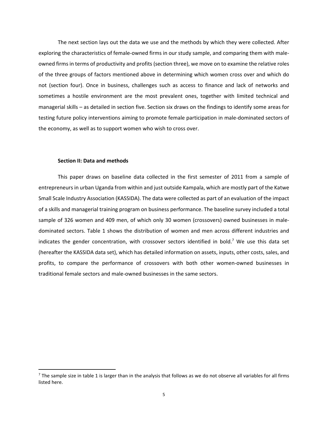The next section lays out the data we use and the methods by which they were collected. After exploring the characteristics of female‐owned firms in our study sample, and comparing them with male‐ owned firms in terms of productivity and profits (section three), we move on to examine the relative roles of the three groups of factors mentioned above in determining which women cross over and which do not (section four). Once in business, challenges such as access to finance and lack of networks and sometimes a hostile environment are the most prevalent ones, together with limited technical and managerial skills – as detailed in section five. Section six draws on the findings to identify some areas for testing future policy interventions aiming to promote female participation in male‐dominated sectors of the economy, as well as to support women who wish to cross over.

#### **Section II: Data and methods**

This paper draws on baseline data collected in the first semester of 2011 from a sample of entrepreneurs in urban Uganda from within and just outside Kampala, which are mostly part of the Katwe Small Scale Industry Association (KASSIDA). The data were collected as part of an evaluation of the impact of a skills and managerial training program on business performance. The baseline survey included a total sample of 326 women and 409 men, of which only 30 women (crossovers) owned businesses in maledominated sectors. Table 1 shows the distribution of women and men across different industries and indicates the gender concentration, with crossover sectors identified in bold.<sup>7</sup> We use this data set (hereafter the KASSIDA data set), which has detailed information on assets, inputs, other costs, sales, and profits, to compare the performance of crossovers with both other women-owned businesses in traditional female sectors and male‐owned businesses in the same sectors.

 $<sup>7</sup>$  The sample size in table 1 is larger than in the analysis that follows as we do not observe all variables for all firms</sup> listed here.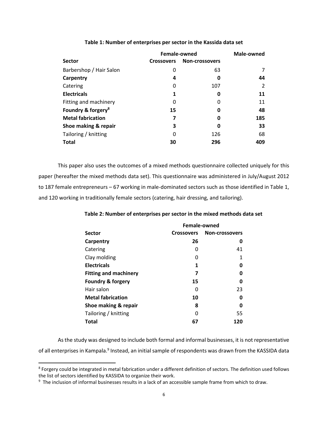|                                | Female-owned      | Male-owned            |     |
|--------------------------------|-------------------|-----------------------|-----|
| <b>Sector</b>                  | <b>Crossovers</b> | <b>Non-crossovers</b> |     |
| Barbershop / Hair Salon        | 0                 | 63                    |     |
| Carpentry                      | 4                 | 0                     | 44  |
| Catering                       | 0                 | 107                   |     |
| <b>Electricals</b>             | 1                 | 0                     | 11  |
| Fitting and machinery          | 0                 | $\Omega$              | 11  |
| Foundry & forgery <sup>8</sup> | 15                | Ω                     | 48  |
| <b>Metal fabrication</b>       | 7                 | 0                     | 185 |
| Shoe making & repair           | 3                 | Ω                     | 33  |
| Tailoring / knitting           | 0                 | 126                   | 68  |
| <b>Total</b>                   | 30                | 296                   | 409 |

#### **Table 1: Number of enterprises per sector in the Kassida data set**

This paper also uses the outcomes of a mixed methods questionnaire collected uniquely for this paper (hereafter the mixed methods data set). This questionnaire was administered in July/August 2012 to 187 female entrepreneurs – 67 working in male-dominated sectors such as those identified in Table 1, and 120 working in traditionally female sectors (catering, hair dressing, and tailoring).

#### **Table 2: Number of enterprises per sector in the mixed methods data set**

|                              | Female-owned |                       |  |  |
|------------------------------|--------------|-----------------------|--|--|
| <b>Sector</b>                | Crossovers   | <b>Non-crossovers</b> |  |  |
| Carpentry                    | 26           | O                     |  |  |
| Catering                     | O            | 41                    |  |  |
| Clay molding                 | O            | 1                     |  |  |
| <b>Electricals</b>           | 1            | Ω                     |  |  |
| <b>Fitting and machinery</b> | 7            | Ω                     |  |  |
| <b>Foundry &amp; forgery</b> | 15           | O                     |  |  |
| Hair salon                   | O            | 23                    |  |  |
| <b>Metal fabrication</b>     | 10           | ŋ                     |  |  |
| Shoe making & repair         | 8            | O                     |  |  |
| Tailoring / knitting         | O            | 55                    |  |  |
| <b>Total</b>                 | 67           | 120                   |  |  |

Asthe study was designed to include both formal and informal businesses, it is not representative of all enterprises in Kampala.<sup>9</sup> Instead, an initial sample of respondents was drawn from the KASSIDA data

<sup>&</sup>lt;sup>8</sup> Forgery could be integrated in metal fabrication under a different definition of sectors. The definition used follows the list of sectors identified by KASSIDA to organize their work.

<sup>&</sup>lt;sup>9</sup> The inclusion of informal businesses results in a lack of an accessible sample frame from which to draw.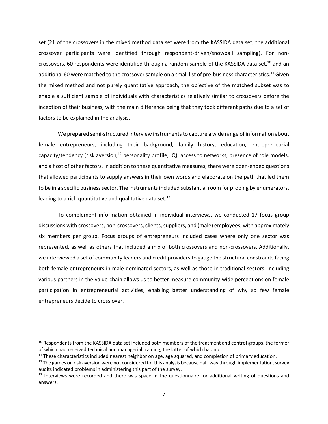set (21 of the crossovers in the mixed method data set were from the KASSIDA data set; the additional crossover participants were identified through respondent‐driven/snowball sampling). For non‐ crossovers, 60 respondents were identified through a random sample of the KASSIDA data set,<sup>10</sup> and an additional 60 were matched to the crossover sample on a small list of pre-business characteristics.<sup>11</sup> Given the mixed method and not purely quantitative approach, the objective of the matched subset was to enable a sufficient sample of individuals with characteristics relatively similar to crossovers before the inception of their business, with the main difference being that they took different paths due to a set of factors to be explained in the analysis.

We prepared semi-structured interview instruments to capture a wide range of information about female entrepreneurs, including their background, family history, education, entrepreneurial capacity/tendency (risk aversion,<sup>12</sup> personality profile, IQ), access to networks, presence of role models, and a host of other factors. In addition to these quantitative measures, there were open‐ended questions that allowed participants to supply answers in their own words and elaborate on the path that led them to be in a specific business sector. The instruments included substantial room for probing by enumerators, leading to a rich quantitative and qualitative data set. $^{13}$ 

To complement information obtained in individual interviews, we conducted 17 focus group discussions with crossovers, non-crossovers, clients, suppliers, and (male) employees, with approximately six members per group. Focus groups of entrepreneurs included cases where only one sector was represented, as well as others that included a mix of both crossovers and non‐crossovers. Additionally, we interviewed a set of community leaders and credit providers to gauge the structural constraints facing both female entrepreneurs in male‐dominated sectors, as well as those in traditional sectors. Including various partners in the value‐chain allows us to better measure community‐wide perceptions on female participation in entrepreneurial activities, enabling better understanding of why so few female entrepreneurs decide to cross over.

<sup>&</sup>lt;sup>10</sup> Respondents from the KASSIDA data set included both members of the treatment and control groups, the former of which had received technical and managerial training, the latter of which had not.

<sup>&</sup>lt;sup>11</sup> These characteristics included nearest neighbor on age, age squared, and completion of primary education.

<sup>&</sup>lt;sup>12</sup> The games on risk aversion were not considered for this analysis because half-way through implementation, survey audits indicated problems in administering this part of the survey.

 $<sup>13</sup>$  Interviews were recorded and there was space in the questionnaire for additional writing of questions and</sup> answers.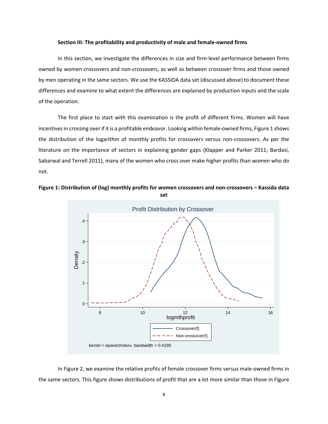#### **Section III: The profitability and productivity of male and female‐owned firms**

In this section, we investigate the differences in size and firm‐level performance between firms owned by women crossovers and non‐crossovers, as well as between crossover firms and those owned by men operating in the same sectors. We use the KASSIDA data set (discussed above) to document these differences and examine to what extent the differences are explained by production inputs and the scale of the operation.

The first place to start with this examination is the profit of different firms. Women will have incentives in crossing over if it is a profitable endeavor. Looking within female-owned firms, Figure 1 shows the distribution of the logarithm of monthly profits for crossovers versus non‐crossovers. As per the literature on the importance of sectors in explaining gender gaps (Klapper and Parker 2011; Bardasi, Sabarwal and Terrell 2011), many of the women who cross over make higher profits than women who do not.





In Figure 2, we examine the relative profits of female crossover firms versus male-owned firms in the same sectors. This figure shows distributions of profit that are a lot more similar than those in Figure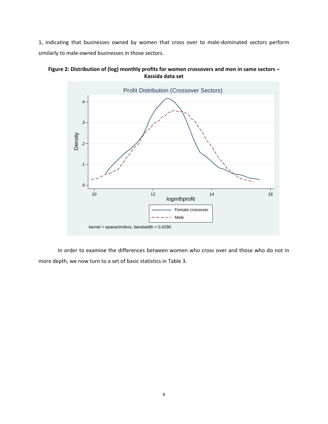1, indicating that businesses owned by women that cross over to male‐dominated sectors perform similarly to male‐owned businesses in those sectors.





In order to examine the differences between women who cross over and those who do not in more depth, we now turn to a set of basic statistics in Table 3.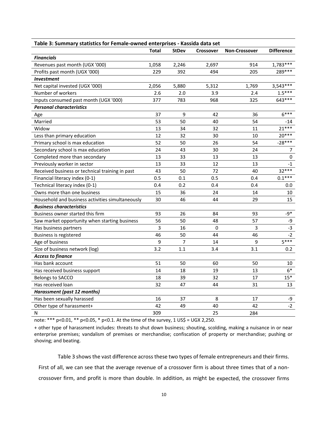| Table 3: Summary statistics for Female-owned enterprises - Kassida data set |                |              |                  |                      |                   |  |  |  |
|-----------------------------------------------------------------------------|----------------|--------------|------------------|----------------------|-------------------|--|--|--|
|                                                                             | Total          | <b>StDev</b> | <b>Crossover</b> | <b>Non-Crossover</b> | <b>Difference</b> |  |  |  |
| <b>Financials</b>                                                           |                |              |                  |                      |                   |  |  |  |
| Revenues past month (UGX '000)                                              | 1,058          | 2,246        | 2,697            | 914                  | $1,783***$        |  |  |  |
| Profits past month (UGX '000)                                               | 229            | 392          | 494              | 205                  | 289 ***           |  |  |  |
| <b>Investment</b>                                                           |                |              |                  |                      |                   |  |  |  |
| Net capital invested (UGX '000)                                             | 2,056          | 5,880        | 5,312            | 1,769                | $3,543***$        |  |  |  |
| Number of workers                                                           | 2.6            | 2.0          | 3.9              | 2.4                  | $1.5***$          |  |  |  |
| Inputs consumed past month (UGX '000)                                       | 377            | 783          | 968              | 325                  | 643***            |  |  |  |
| <b>Personal characteristics</b>                                             |                |              |                  |                      |                   |  |  |  |
| Age                                                                         | 37             | 9            | 42               | 36                   | $6***$            |  |  |  |
| Married                                                                     | 53             | 50           | 40               | 54                   | $-14$             |  |  |  |
| Widow                                                                       | 13             | 34           | 32               | 11                   | $21***$           |  |  |  |
| Less than primary education                                                 | 12             | 32           | 30               | 10                   | $20***$           |  |  |  |
| Primary school is max education                                             | 52             | 50           | 26               | 54                   | $-28***$          |  |  |  |
| Secondary school is max education                                           | 24             | 43           | 30               | 24                   | 7                 |  |  |  |
| Completed more than secondary                                               | 13             | 33           | 13               | 13                   | 0                 |  |  |  |
| Previously worker in sector                                                 | 13             | 33           | 12               | 13                   | $-1$              |  |  |  |
| Received business or technical training in past                             | 43             | 50           | 72               | 40                   | $32***$           |  |  |  |
| Financial literacy index (0-1)                                              | 0.5            | 0.1          | 0.5              | 0.4                  | $0.1***$          |  |  |  |
| Technical literacy index (0-1)                                              | 0.4            | 0.2          | 0.4              | 0.4                  | 0.0               |  |  |  |
| Owns more than one business                                                 | 15             | 36           | 24               | 14                   | 10                |  |  |  |
| Household and business activities simultaneously                            | 30             | 46           | 44               | 29                   | 15                |  |  |  |
| <b>Business characteristics</b>                                             |                |              |                  |                      |                   |  |  |  |
| Business owner started this firm                                            | 93             | 26           | 84               | 93                   | $-9*$             |  |  |  |
| Saw market opportunity when starting business                               | 56             | 50           | 48               | 57                   | $-9$              |  |  |  |
| Has business partners                                                       | $\overline{3}$ | 16           | $\Omega$         | $\overline{3}$       | $-3$              |  |  |  |
| <b>Business is registered</b>                                               | 46             | 50           | 44               | 46                   | $-2$              |  |  |  |
| Age of business                                                             | 9              | 7            | 14               | 9                    | $5***$            |  |  |  |
| Size of business network (log)                                              | 3.2            | 1.1          | 3.4              | 3.1                  | 0.2               |  |  |  |
| <b>Access to finance</b>                                                    |                |              |                  |                      |                   |  |  |  |
| Has bank account                                                            | 51             | 50           | 60               | 50                   | 10                |  |  |  |
| Has received business support                                               | 14             | 18           | 19               | 13                   | $6*$              |  |  |  |
| Belongs to SACCO                                                            | 18             | 39           | 32               | 17                   | $15*$             |  |  |  |
| Has received loan                                                           | 32             | 47           | 44               | 31                   | 13                |  |  |  |
| <b>Harassment (past 12 months)</b>                                          |                |              |                  |                      |                   |  |  |  |
| Has been sexually harassed                                                  | 16             | 37           | 8                | 17                   | -9                |  |  |  |
| Other type of harassment+                                                   | 42             | 49           | 40               | 42                   | $-2$              |  |  |  |
| N                                                                           | 309            |              | 25               | 284                  |                   |  |  |  |

**Table 3: Summary statistics for Female‐owned enterprises ‐ Kassida data set**

note: \*\*\* p<0.01, \*\* p<0.05, \* p<0.1. At the time of the survey, 1 US\$ = UGX 2,250.

+ other type of harassment includes: threats to shut down business; shouting, scolding, making a nuisance in or near enterprise premises; vandalism of premises or merchandise; confiscation of property or merchandise; pushing or shoving; and beating.

Table 3 shows the vast difference across these two types of female entrepreneurs and their firms. First of all, we can see that the average revenue of a crossover firm is about three times that of a noncrossover firm, and profit is more than double. In addition, as might be expected, the crossover firms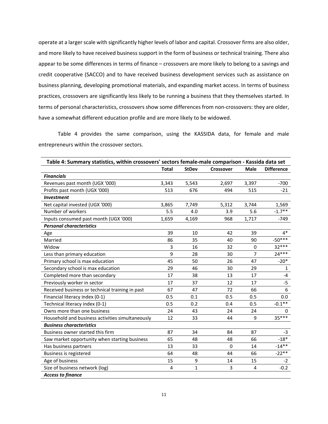operate at a larger scale with significantly higher levels of labor and capital. Crossover firms are also older, and more likely to have received business support in the form of business or technical training. There also appear to be some differences in terms of finance – crossovers are more likely to belong to a savings and credit cooperative (SACCO) and to have received business development services such as assistance on business planning, developing promotional materials, and expanding market access. In terms of business practices, crossovers are significantly less likely to be running a business that they themselves started. In terms of personal characteristics, crossovers show some differences from non-crossovers: they are older, have a somewhat different education profile and are more likely to be widowed.

Table 4 provides the same comparison, using the KASSIDA data, for female and male entrepreneurs within the crossover sectors.

| Table 4: Summary statistics, within crossovers' sectors female-male comparison - Kassida data set |                |              |                  |                |                   |
|---------------------------------------------------------------------------------------------------|----------------|--------------|------------------|----------------|-------------------|
|                                                                                                   | <b>Total</b>   | <b>StDev</b> | <b>Crossover</b> | <b>Male</b>    | <b>Difference</b> |
| <b>Financials</b>                                                                                 |                |              |                  |                |                   |
| Revenues past month (UGX '000)                                                                    | 3,343          | 5,543        | 2,697            | 3,397          | $-700$            |
| Profits past month (UGX '000)                                                                     | 513            | 676          | 494              | 515            | $-21$             |
| <b>Investment</b>                                                                                 |                |              |                  |                |                   |
| Net capital invested (UGX '000)                                                                   | 3,865          | 7,749        | 5,312            | 3,744          | 1,569             |
| Number of workers                                                                                 | 5.5            | 4.0          | 3.9              | 5.6            | $-1.7**$          |
| Inputs consumed past month (UGX '000)                                                             | 1,659          | 4,169        | 968              | 1,717          | $-749$            |
| <b>Personal characteristics</b>                                                                   |                |              |                  |                |                   |
| Age                                                                                               | 39             | 10           | 42               | 39             | $4*$              |
| Married                                                                                           | 86             | 35           | 40               | 90             | $-50***$          |
| Widow                                                                                             | 3              | 16           | 32               | 0              | $32***$           |
| Less than primary education                                                                       | 9              | 28           | 30               | $\overline{7}$ | $24***$           |
| Primary school is max education                                                                   | 45             | 50           | 26               | 47             | $-20*$            |
| Secondary school is max education                                                                 | 29             | 46           | 30               | 29             | $\mathbf{1}$      |
| Completed more than secondary                                                                     | 17             | 38           | 13               | 17             | $-4$              |
| Previously worker in sector                                                                       | 17             | 37           | 12               | 17             | $-5$              |
| Received business or technical training in past                                                   | 67             | 47           | 72               | 66             | 6                 |
| Financial literacy index (0-1)                                                                    | 0.5            | 0.1          | 0.5              | 0.5            | 0.0               |
| Technical literacy index (0-1)                                                                    | 0.5            | 0.2          | 0.4              | 0.5            | $-0.1**$          |
| Owns more than one business                                                                       | 24             | 43           | 24               | 24             | 0                 |
| Household and business activities simultaneously                                                  | 12             | 33           | 44               | 9              | $35***$           |
| <b>Business characteristics</b>                                                                   |                |              |                  |                |                   |
| Business owner started this firm                                                                  | 87             | 34           | 84               | 87             | $-3$              |
| Saw market opportunity when starting business                                                     | 65             | 48           | 48               | 66             | $-18*$            |
| Has business partners                                                                             | 13             | 33           | $\Omega$         | 14             | $-14**$           |
| <b>Business is registered</b>                                                                     | 64             | 48           | 44               | 66             | $-22**$           |
| Age of business                                                                                   | 15             | 9            | 14               | 15             | $-2$              |
| Size of business network (log)                                                                    | $\overline{4}$ | $\mathbf{1}$ | 3                | $\overline{4}$ | $-0.2$            |
| <b>Access to finance</b>                                                                          |                |              |                  |                |                   |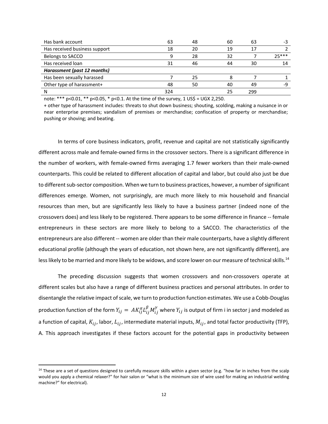| Has bank account              | 63  | 48 | 60 | 63  | -3      |
|-------------------------------|-----|----|----|-----|---------|
| Has received business support | 18  | 20 | 19 | 17  |         |
| Belongs to SACCO              | a   | 28 | 32 |     | $75***$ |
| Has received loan             | 31  | 46 | 44 | 30  | 14      |
| Harassment (past 12 months)   |     |    |    |     |         |
| Has been sexually harassed    |     | 25 |    |     |         |
| Other type of harassment+     | 48  | 50 | 40 | 49  | -9      |
| N                             | 324 |    | 25 | 299 |         |

note: \*\*\* p<0.01, \*\* p<0.05, \* p<0.1. At the time of the survey, 1 US\$ = UGX 2,250.

+ other type of harassment includes: threats to shut down business; shouting, scolding, making a nuisance in or near enterprise premises; vandalism of premises or merchandise; confiscation of property or merchandise; pushing or shoving; and beating.

In terms of core business indicators, profit, revenue and capital are not statistically significantly different across male and female‐owned firms in the crossover sectors. There is a significant difference in the number of workers, with female‐owned firms averaging 1.7 fewer workers than their male‐owned counterparts. This could be related to different allocation of capital and labor, but could also just be due to different sub-sector composition. When we turn to business practices, however, a number of significant differences emerge. Women, not surprisingly, are much more likely to mix household and financial resources than men, but are significantly less likely to have a business partner (indeed none of the crossovers does) and less likely to be registered. There appears to be some difference in finance ‐‐ female entrepreneurs in these sectors are more likely to belong to a SACCO. The characteristics of the entrepreneurs are also different -- women are older than their male counterparts, have a slightly different educational profile (although the years of education, not shown here, are not significantly different), are less likely to be married and more likely to be widows, and score lower on our measure of technical skills.<sup>14</sup>

The preceding discussion suggests that women crossovers and non‐crossovers operate at different scales but also have a range of different business practices and personal attributes. In order to disentangle the relative impact of scale, we turn to production function estimates. We use a Cobb-Douglas production function of the form  $Y_{ij}=~AK_{ij}^\alpha L_{ij}^\beta M_{ij}^\gamma$  where  $Y_{ij}$  is output of firm i in sector j and modeled as a function of capital,  $K_{ij}$ , labor,  $L_{ij}$ , intermediate material inputs,  $M_{ij}$ , and total factor productivity (TFP), A. This approach investigates if these factors account for the potential gaps in productivity between

<sup>&</sup>lt;sup>14</sup> These are a set of questions designed to carefully measure skills within a given sector (e.g. "how far in inches from the scalp would you apply a chemical relaxer?" for hair salon or "what is the minimum size of wire used for making an industrial welding machine?" for electrical).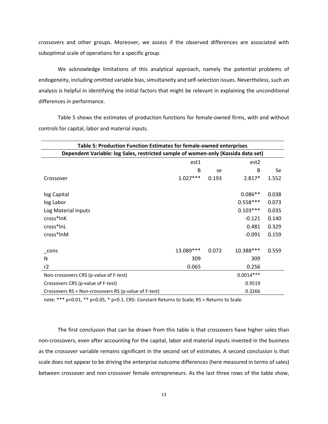crossovers and other groups. Moreover, we assess if the observed differences are associated with suboptimal scale of operations for a specific group.

We acknowledge limitations of this analytical approach, namely the potential problems of endogeneity, including omitted variable bias, simultaneity and self-selection issues. Nevertheless, such an analysis is helpful in identifying the initial factors that might be relevant in explaining the unconditional differences in performance.

Table 5 shows the estimates of production functions for female‐owned firms, with and without controls for capital, labor and material inputs.

| Table 5: Production Function Estimates for female-owned enterprises               |            |       |             |       |  |  |
|-----------------------------------------------------------------------------------|------------|-------|-------------|-------|--|--|
| Dependent Variable: log Sales, restricted sample of women-only (Kassida data set) |            |       |             |       |  |  |
| est1<br>est <sub>2</sub>                                                          |            |       |             |       |  |  |
|                                                                                   | B          | se    | B           | Se    |  |  |
| Crossover                                                                         | $1.027***$ | 0.193 | $2.817*$    | 1.552 |  |  |
|                                                                                   |            |       |             |       |  |  |
| log Capital                                                                       |            |       | $0.086**$   | 0.038 |  |  |
| log Labor                                                                         |            |       | $0.558***$  | 0.073 |  |  |
| Log Material Inputs                                                               |            |       | $0.103***$  | 0.035 |  |  |
| cross*lnK                                                                         |            |       | $-0.121$    | 0.140 |  |  |
| cross*InL                                                                         |            |       | 0.481       | 0.329 |  |  |
| cross*InM                                                                         |            |       | $-0.091$    | 0.159 |  |  |
|                                                                                   |            |       |             |       |  |  |
| cons                                                                              | 13.089***  | 0.072 | 10.388***   | 0.559 |  |  |
| N                                                                                 | 309        |       | 309         |       |  |  |
| r2                                                                                | 0.065      |       | 0.256       |       |  |  |
| Non-crossovers CRS (p-value of F-test)                                            |            |       | $0.0014***$ |       |  |  |
| Crossovers CRS (p-value of F-test)                                                |            |       | 0.9519      |       |  |  |
| Crossovers RS = Non-crossovers RS (p-value of F-test)                             |            |       | 0.3266      |       |  |  |

note: \*\*\* p<0.01, \*\* p<0.05, \* p<0.1. CRS‐ Constant Returns to Scale; RS = Returns to Scale.

The first conclusion that can be drawn from this table is that crossovers have higher sales than non‐crossovers, even after accounting for the capital, labor and material inputs invested in the business as the crossover variable remains significant in the second set of estimates. A second conclusion is that scale does not appear to be driving the enterprise outcome differences (here measured in terms of sales) between crossover and non-crossover female entrepreneurs. As the last three rows of the table show,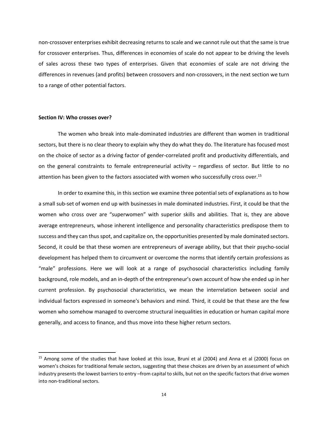non-crossover enterprises exhibit decreasing returns to scale and we cannot rule out that the same is true for crossover enterprises. Thus, differences in economies of scale do not appear to be driving the levels of sales across these two types of enterprises. Given that economies of scale are not driving the differences in revenues (and profits) between crossovers and non‐crossovers, in the next section we turn to a range of other potential factors.

#### **Section IV: Who crosses over?**

The women who break into male‐dominated industries are different than women in traditional sectors, but there is no clear theory to explain why they do what they do. The literature has focused most on the choice of sector as a driving factor of gender‐correlated profit and productivity differentials, and on the general constraints to female entrepreneurial activity – regardless of sector. But little to no attention has been given to the factors associated with women who successfully cross over.<sup>15</sup>

In order to examine this, in this section we examine three potential sets of explanations as to how a small sub‐set of women end up with businesses in male dominated industries. First, it could be that the women who cross over are "superwomen" with superior skills and abilities. That is, they are above average entrepreneurs, whose inherent intelligence and personality characteristics predispose them to success and they can thus spot, and capitalize on, the opportunities presented by male dominated sectors. Second, it could be that these women are entrepreneurs of average ability, but that their psycho‐social development has helped them to circumvent or overcome the norms that identify certain professions as "male" professions. Here we will look at a range of psychosocial characteristics including family background, role models, and an in‐depth of the entrepreneur's own account of how she ended up in her current profession. By psychosocial characteristics, we mean the interrelation between social and individual factors expressed in someone's behaviors and mind. Third, it could be that these are the few women who somehow managed to overcome structural inequalities in education or human capital more generally, and access to finance, and thus move into these higher return sectors.

<sup>15</sup> Among some of the studies that have looked at this issue, Bruni et al (2004) and Anna et al (2000) focus on women's choices for traditional female sectors, suggesting that these choices are driven by an assessment of which industry presents the lowest barriers to entry –from capital to skills, but not on the specific factors that drive women into non‐traditional sectors.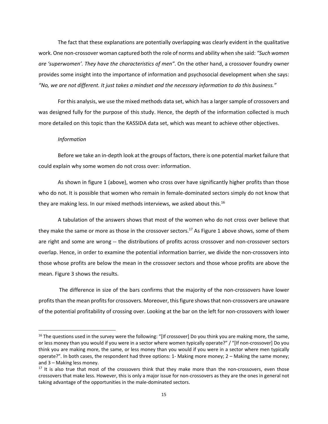The fact that these explanations are potentially overlapping was clearly evident in the qualitative work. One non‐crossover woman captured both the role of norms and ability when she said: *"Such women are 'superwomen'. They have the characteristics of men"*. On the other hand, a crossover foundry owner provides some insight into the importance of information and psychosocial development when she says: "No, we are not different. It just takes a mindset and the necessary information to do this business."

For this analysis, we use the mixed methods data set, which has a larger sample of crossovers and was designed fully for the purpose of this study. Hence, the depth of the information collected is much more detailed on this topic than the KASSIDA data set, which was meant to achieve other objectives.

#### *Information*

Before we take an in‐depth look at the groups of factors, there is one potential market failure that could explain why some women do not cross over: information.

As shown in figure 1 (above), women who cross over have significantly higher profits than those who do not. It is possible that women who remain in female-dominated sectors simply do not know that they are making less. In our mixed methods interviews, we asked about this.<sup>16</sup>

A tabulation of the answers shows that most of the women who do not cross over believe that they make the same or more as those in the crossover sectors.<sup>17</sup> As Figure 1 above shows, some of them are right and some are wrong -- the distributions of profits across crossover and non-crossover sectors overlap. Hence, in order to examine the potential information barrier, we divide the non‐crossovers into those whose profits are below the mean in the crossover sectors and those whose profits are above the mean. Figure 3 shows the results.

The difference in size of the bars confirms that the majority of the non‐crossovers have lower profits than the mean profits for crossovers. Moreover, this figure shows that non-crossovers are unaware of the potential profitability of crossing over. Looking at the bar on the left for non‐crossovers with lower

 $16$  The questions used in the survey were the following: "[If crossover] Do you think you are making more, the same, or less money than you would if you were in a sector where women typically operate?" / "[If non‐crossover] Do you think you are making more, the same, or less money than you would if you were in a sector where men typically operate?". In both cases, the respondent had three options: 1‐ Making more money; 2 – Making the same money; and 3 – Making less money.

<sup>&</sup>lt;sup>17</sup> It is also true that most of the crossovers think that they make more than the non-crossovers, even those crossovers that make less. However, this is only a major issue for non‐crossovers as they are the ones in general not taking advantage of the opportunities in the male‐dominated sectors.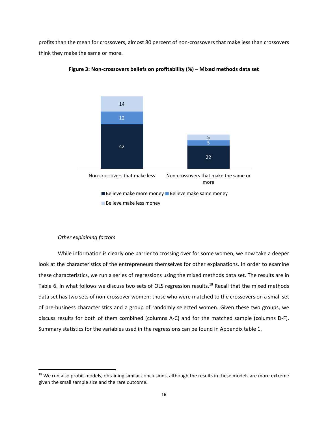profits than the mean for crossovers, almost 80 percent of non‐crossovers that make less than crossovers think they make the same or more.



#### **Figure 3: Non‐crossovers beliefs on profitability (%) – Mixed methods data set**

#### *Other explaining factors*

While information is clearly one barrier to crossing over for some women, we now take a deeper look at the characteristics of the entrepreneurs themselves for other explanations. In order to examine these characteristics, we run a series of regressions using the mixed methods data set. The results are in Table 6. In what follows we discuss two sets of OLS regression results.<sup>18</sup> Recall that the mixed methods data set has two sets of non‐crossover women: those who were matched to the crossovers on a small set of pre‐business characteristics and a group of randomly selected women. Given these two groups, we discuss results for both of them combined (columns A‐C) and for the matched sample (columns D‐F). Summary statistics for the variables used in the regressions can be found in Appendix table 1.

<sup>&</sup>lt;sup>18</sup> We run also probit models, obtaining similar conclusions, although the results in these models are more extreme given the small sample size and the rare outcome.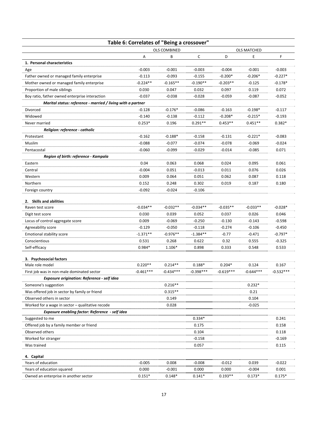| Table 6: Correlates of "Being a crossover"                  |             |                     |             |             |                    |             |
|-------------------------------------------------------------|-------------|---------------------|-------------|-------------|--------------------|-------------|
|                                                             |             | <b>OLS COMBINED</b> |             |             | <b>OLS MATCHED</b> |             |
|                                                             | Α           | В                   | С           | D           | E                  | F           |
| 1. Personal characteristics                                 |             |                     |             |             |                    |             |
| Age                                                         | $-0.003$    | $-0.001$            | $-0.003$    | $-0.004$    | $-0.001$           | $-0.003$    |
| Father owned or managed family enterprise                   | $-0.113$    | $-0.093$            | $-0.155$    | $-0.200*$   | $-0.206*$          | $-0.227*$   |
| Mother owned or managed family enterprise                   | $-0.224**$  | $-0.165**$          | $-0.190**$  | $-0.203**$  | $-0.125$           | $-0.178*$   |
| Proportion of male siblings                                 | 0.030       | 0.047               | 0.032       | 0.097       | 0.119              | 0.072       |
| Boy ratio, father owned enterprise interaction              | $-0.037$    | $-0.038$            | $-0.028$    | $-0.059$    | $-0.087$           | $-0.052$    |
| Marital status: reference - married / living with a partner |             |                     |             |             |                    |             |
| Divorced                                                    | $-0.128$    | $-0.176*$           | $-0.086$    | $-0.163$    | $-0.198*$          | $-0.117$    |
| Widowed                                                     | $-0.140$    | $-0.138$            | $-0.112$    | $-0.208*$   | $-0.215*$          | $-0.193$    |
| Never married                                               | $0.253*$    | 0.196               | $0.291**$   | $0.453**$   | $0.451**$          | $0.382*$    |
| Religion: reference - catholic                              |             |                     |             |             |                    |             |
| Protestant                                                  | $-0.162$    | $-0.188*$           | $-0.158$    | $-0.131$    | $-0.221*$          | $-0.083$    |
| Muslim                                                      | $-0.088$    | $-0.077$            | $-0.074$    | $-0.078$    | $-0.069$           | $-0.024$    |
| Pentacostal                                                 | $-0.060$    | $-0.099$            | $-0.029$    | $-0.014$    | $-0.085$           | 0.071       |
| Region of birth: reference - Kampala                        |             |                     |             |             |                    |             |
| Eastern                                                     | 0.04        | 0.063               | 0.068       | 0.024       | 0.095              | 0.061       |
| Central                                                     | $-0.004$    | 0.051               | $-0.013$    | 0.011       | 0.076              | 0.026       |
| Western                                                     | 0.009       | 0.064               | 0.051       | 0.062       | 0.087              | 0.118       |
| Northern                                                    | 0.152       | 0.248               | 0.302       | 0.019       | 0.187              | 0.180       |
| Foreign country                                             | $-0.092$    | $-0.024$            | $-0.106$    |             |                    |             |
| 2. Skills and abilities                                     |             |                     |             |             |                    |             |
| Raven test score                                            | $-0.034**$  | $-0.032**$          | $-0.034**$  | $-0.035**$  | $-0.033**$         | $-0.028*$   |
| Digit test score                                            | 0.030       | 0.039               | 0.052       | 0.037       | 0.026              | 0.046       |
| Locus of control aggregate score                            | 0.009       | $-0.069$            | $-0.250$    | $-0.130$    | $-0.143$           | $-0.598$    |
| Agreeability score                                          | $-0.129$    | $-0.050$            | $-0.118$    | $-0.274$    | $-0.106$           | $-0.450$    |
| Emotional stability score                                   | $-1.371**$  | $-0.976**$          | $-1.384**$  | $-0.77$     | $-0.471$           | $-0.797*$   |
| Conscientious                                               | 0.531       | 0.268               | 0.622       | 0.32        | 0.555              | $-0.325$    |
| Self-efficacy                                               | $0.984*$    | 1.106*              | 0.898       | 0.333       | 0.548              | 0.533       |
|                                                             |             |                     |             |             |                    |             |
| 3. Psychosocial factors                                     |             |                     |             |             |                    |             |
| Male role model                                             | $0.220**$   | $0.214**$           | $0.188*$    | $0.204*$    | 0.124              | 0.167       |
| First job was in non-male dominated sector                  | $-0.461***$ | $-0.434***$         | $-0.398***$ | $-0.619***$ | $-0.644***$        | $-0.532***$ |
| Exposure origination: Reference - self idea                 |             |                     |             |             |                    |             |
| Someone's suggestion                                        |             | $0.216**$           |             |             | $0.232*$           |             |
| Was offered job in sector by family or friend               |             | $0.315**$           |             |             | 0.21               |             |
| Observed others in sector                                   |             | 0.149               |             |             | 0.104              |             |
| Worked for a wage in sector - qualitative recode            |             | 0.028               |             |             | $-0.025$           |             |
| Exposure enabling factor: Reference - self idea             |             |                     |             |             |                    |             |
| Suggested to me                                             |             |                     | $0.334*$    |             |                    | 0.241       |
| Offered job by a family member or friend                    |             |                     | 0.175       |             |                    | 0.158       |
| Observed others                                             |             |                     | 0.104       |             |                    | 0.118       |
| Worked for stranger                                         |             |                     | $-0.158$    |             |                    | $-0.169$    |
| Was trained                                                 |             |                     | 0.057       |             |                    | 0.115       |
| 4. Capital                                                  |             |                     |             |             |                    |             |
| Years of education                                          | $-0.005$    | 0.008               | $-0.008$    | $-0.012$    | 0.039              | $-0.022$    |
| Years of education squared                                  | 0.000       | $-0.001$            | 0.000       | 0.000       | $-0.004$           | 0.001       |

Owned an enterprise in another sector  $0.151*$   $0.148*$   $0.141*$   $0.193**$   $0.173*$   $0.175*$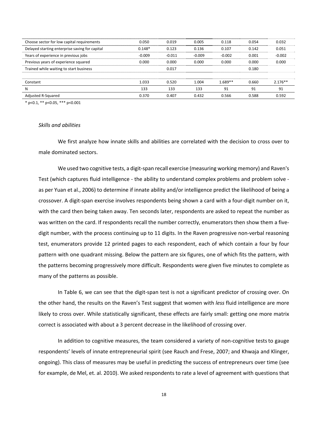| Choose sector for low capital requirements     | 0.050    | 0.019    | 0.005    | 0.118     | 0.054 | 0.032     |
|------------------------------------------------|----------|----------|----------|-----------|-------|-----------|
| Delayed starting enterprise saving for capital | $0.148*$ | 0.123    | 0.136    | 0.107     | 0.142 | 0.051     |
| Years of experience in previous jobs           | $-0.009$ | $-0.011$ | $-0.009$ | $-0.002$  | 0.001 | $-0.002$  |
| Previous years of experience squared           | 0.000    | 0.000    | 0.000    | 0.000     | 0.000 | 0.000     |
| Trained while waiting to start business        |          | 0.017    |          |           | 0.180 |           |
|                                                |          |          |          |           |       |           |
| Constant                                       | 1.033    | 0.520    | 1.004    | $1.689**$ | 0.660 | $2.176**$ |
| N                                              | 133      | 133      | 133      | 91        | 91    | 91        |
| Adjusted R-Squared                             | 0.370    | 0.407    | 0.432    | 0.566     | 0.588 | 0.592     |

\* p<0.1, \*\* p<0.05, \*\*\* p<0.001

#### *Skills and abilities*

We first analyze how innate skills and abilities are correlated with the decision to cross over to male dominated sectors.

We used two cognitive tests, a digit-span recall exercise (measuring working memory) and Raven's Test (which captures fluid intelligence - the ability to understand complex problems and problem solve as per Yuan et al., 2006) to determine if innate ability and/or intelligence predict the likelihood of being a crossover. A digit‐span exercise involves respondents being shown a card with a four‐digit number on it, with the card then being taken away. Ten seconds later, respondents are asked to repeat the number as was written on the card. If respondents recall the number correctly, enumerators then show them a fivedigit number, with the process continuing up to 11 digits. In the Raven progressive non‐verbal reasoning test, enumerators provide 12 printed pages to each respondent, each of which contain a four by four pattern with one quadrant missing. Below the pattern are six figures, one of which fits the pattern, with the patterns becoming progressively more difficult. Respondents were given five minutes to complete as many of the patterns as possible.

In Table 6, we can see that the digit-span test is not a significant predictor of crossing over. On the other hand, the results on the Raven's Test suggest that women with *less* fluid intelligence are more likely to cross over. While statistically significant, these effects are fairly small: getting one more matrix correct is associated with about a 3 percent decrease in the likelihood of crossing over.

In addition to cognitive measures, the team considered a variety of non‐cognitive teststo gauge respondents' levels of innate entrepreneurial spirit (see Rauch and Frese, 2007; and Khwaja and Klinger, ongoing). This class of measures may be useful in predicting the success of entrepreneurs over time (see for example, de Mel, et. al. 2010). We asked respondents to rate a level of agreement with questions that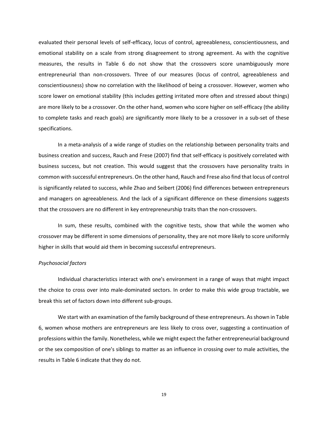evaluated their personal levels of self‐efficacy, locus of control, agreeableness, conscientiousness, and emotional stability on a scale from strong disagreement to strong agreement. As with the cognitive measures, the results in Table 6 do not show that the crossovers score unambiguously more entrepreneurial than non-crossovers. Three of our measures (locus of control, agreeableness and conscientiousness) show no correlation with the likelihood of being a crossover. However, women who score lower on emotional stability (this includes getting irritated more often and stressed about things) are more likely to be a crossover. On the other hand, women who score higher on self‐efficacy (the ability to complete tasks and reach goals) are significantly more likely to be a crossover in a sub‐set of these specifications.

In a meta‐analysis of a wide range of studies on the relationship between personality traits and business creation and success, Rauch and Frese (2007) find that self‐efficacy is positively correlated with business success, but not creation. This would suggest that the crossovers have personality traits in common with successful entrepreneurs. On the other hand, Rauch and Frese also find that locus of control is significantly related to success, while Zhao and Seibert (2006) find differences between entrepreneurs and managers on agreeableness. And the lack of a significant difference on these dimensions suggests that the crossovers are no different in key entrepreneurship traits than the non‐crossovers.

In sum, these results, combined with the cognitive tests, show that while the women who crossover may be different in some dimensions of personality, they are not more likely to score uniformly higher in skills that would aid them in becoming successful entrepreneurs.

#### *Psychosocial factors*

Individual characteristics interact with one's environment in a range of ways that might impact the choice to cross over into male‐dominated sectors. In order to make this wide group tractable, we break this set of factors down into different sub‐groups.

We start with an examination of the family background of these entrepreneurs. As shown in Table 6, women whose mothers are entrepreneurs are less likely to cross over, suggesting a continuation of professions within the family. Nonetheless, while we might expect the father entrepreneurial background or the sex composition of one's siblings to matter as an influence in crossing over to male activities, the results in Table 6 indicate that they do not.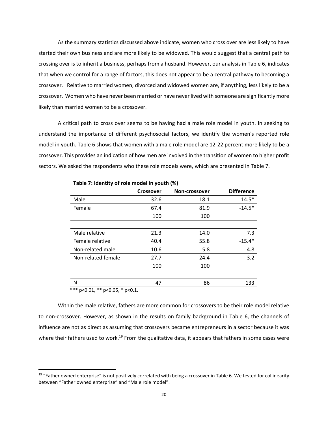As the summary statistics discussed above indicate, women who cross over are less likely to have started their own business and are more likely to be widowed. This would suggest that a central path to crossing over is to inherit a business, perhaps from a husband. However, our analysis in Table 6, indicates that when we control for a range of factors, this does not appear to be a central pathway to becoming a crossover. Relative to married women, divorced and widowed women are, if anything, less likely to be a crossover. Women who have never been married or have never lived with someone are significantly more likely than married women to be a crossover.

A critical path to cross over seems to be having had a male role model in youth. In seeking to understand the importance of different psychosocial factors, we identify the women's reported role model in youth. Table 6 shows that women with a male role model are 12‐22 percent more likely to be a crossover. This provides an indication of how men are involved in the transition of women to higher profit sectors. We asked the respondents who these role models were, which are presented in Table 7.

| Table 7: Identity of role model in youth (%) |                  |               |                   |  |  |
|----------------------------------------------|------------------|---------------|-------------------|--|--|
|                                              | <b>Crossover</b> | Non-crossover | <b>Difference</b> |  |  |
| Male                                         | 32.6             | 18.1          | $14.5*$           |  |  |
| Female                                       | 67.4             | 81.9          | $-14.5*$          |  |  |
|                                              | 100              | 100           |                   |  |  |
|                                              |                  |               |                   |  |  |
| Male relative                                | 21.3             | 14.0          | 7.3               |  |  |
| Female relative                              | 40.4             | 55.8          | $-15.4*$          |  |  |
| Non-related male                             | 10.6             | 5.8           | 4.8               |  |  |
| Non-related female                           | 27.7             | 24.4          | 3.2               |  |  |
|                                              | 100              | 100           |                   |  |  |
|                                              |                  |               |                   |  |  |
| N                                            | 47               | 86            | 133               |  |  |

\*\*\*  $p<0.01$ , \*\*  $p<0.05$ , \*  $p<0.1$ .

Within the male relative, fathers are more common for crossovers to be their role model relative to non-crossover. However, as shown in the results on family background in Table 6, the channels of influence are not as direct as assuming that crossovers became entrepreneurs in a sector because it was where their fathers used to work.<sup>19</sup> From the qualitative data, it appears that fathers in some cases were

 $19$  "Father owned enterprise" is not positively correlated with being a crossover in Table 6. We tested for collinearity between "Father owned enterprise" and "Male role model".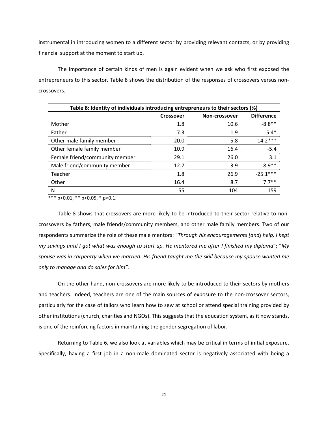instrumental in introducing women to a different sector by providing relevant contacts, or by providing financial support at the moment to start up.

The importance of certain kinds of men is again evident when we ask who first exposed the entrepreneurs to this sector. Table 8 shows the distribution of the responses of crossovers versus non‐ crossovers.

| Table 8: Identity of individuals introducing entrepreneurs to their sectors (%) |           |               |                   |  |  |
|---------------------------------------------------------------------------------|-----------|---------------|-------------------|--|--|
|                                                                                 | Crossover | Non-crossover | <b>Difference</b> |  |  |
| Mother                                                                          | 1.8       | 10.6          | $-8.8**$          |  |  |
| Father                                                                          | 7.3       | 1.9           | $5.4*$            |  |  |
| Other male family member                                                        | 20.0      | 5.8           | $14.2***$         |  |  |
| Other female family member                                                      | 10.9      | 16.4          | $-5.4$            |  |  |
| Female friend/community member                                                  | 29.1      | 26.0          | 3.1               |  |  |
| Male friend/community member                                                    | 12.7      | 3.9           | $8.9**$           |  |  |
| Teacher                                                                         | 1.8       | 26.9          | $-25.1***$        |  |  |
| Other                                                                           | 16.4      | 8.7           | $7.7**$           |  |  |
| N                                                                               | 55        | 104           | 159               |  |  |

\*\*\* p<0.01, \*\* p<0.05, \* p<0.1.

Table 8 shows that crossovers are more likely to be introduced to their sector relative to non‐ crossovers by fathers, male friends/community members, and other male family members. Two of our respondents summarize the role of these male mentors: "*Through his encouragements [and] help, I kept* my savings until I got what was enough to start up. He mentored me after I finished my diploma"; "My spouse was in carpentry when we married. His friend taught me the skill because my spouse wanted me *only to manage and do sales for him".*

On the other hand, non‐crossovers are more likely to be introduced to their sectors by mothers and teachers. Indeed, teachers are one of the main sources of exposure to the non-crossover sectors, particularly for the case of tailors who learn how to sew at school or attend special training provided by other institutions (church, charities and NGOs). This suggests that the education system, as it now stands, is one of the reinforcing factors in maintaining the gender segregation of labor.

Returning to Table 6, we also look at variables which may be critical in terms of initial exposure. Specifically, having a first job in a non‐male dominated sector is negatively associated with being a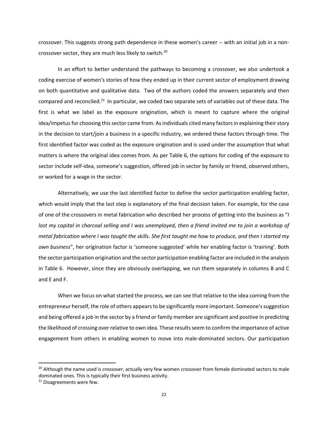crossover. This suggests strong path dependence in these women's career ‐‐ with an initial job in a non‐ crossover sector, they are much less likely to switch.<sup>20</sup>

In an effort to better understand the pathways to becoming a crossover, we also undertook a coding exercise of women's stories of how they ended up in their current sector of employment drawing on both quantitative and qualitative data. Two of the authors coded the answers separately and then compared and reconciled.<sup>21</sup> In particular, we coded two separate sets of variables out of these data. The first is what we label as the exposure origination, which is meant to capture where the original idea/impetus for choosing this sector came from. As individuals cited many factors in explaining their story in the decision to start/join a business in a specific industry, we ordered these factors through time. The first identified factor was coded as the exposure origination and is used under the assumption that what matters is where the original idea comes from. As per Table 6, the options for coding of the exposure to sector include self‐idea, someone's suggestion, offered job in sector by family or friend, observed others, or worked for a wage in the sector.

Alternatively, we use the last identified factor to define the sector participation enabling factor, which would imply that the last step is explanatory of the final decision taken. For example, for the case of one of the crossovers in metal fabrication who described her process of getting into the business as "*I* lost my capital in charcoal selling and I was unemployed, then a friend invited me to join a workshop of metal fabrication where I was taught the skills. She first taught me how to produce, and then I started my *own business*", her origination factor is 'someone suggested' while her enabling factor is 'training'. Both the sector participation origination and the sector participation enabling factor are included in the analysis in Table 6. However, since they are obviously overlapping, we run them separately in columns B and C and E and F.

When we focus on what started the process, we can see that relative to the idea coming from the entrepreneur herself, the role of others appears to be significantly more important. Someone's suggestion and being offered a job in the sector by a friend or family member are significant and positive in predicting the likelihood of crossing overrelative to own idea. These resultsseem to confirm the importance of active engagement from others in enabling women to move into male‐dominated sectors. Our participation

<sup>20</sup> Although the name used is *crossover*, actually very few women crossover from female dominated sectors to male dominated ones. This is typically their first business activity.

<sup>&</sup>lt;sup>21</sup> Disagreements were few.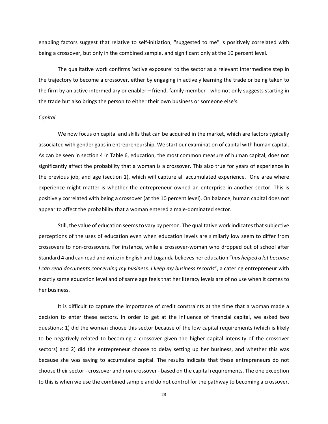enabling factors suggest that relative to self-initiation, "suggested to me" is positively correlated with being a crossover, but only in the combined sample, and significant only at the 10 percent level.

The qualitative work confirms 'active exposure' to the sector as a relevant intermediate step in the trajectory to become a crossover, either by engaging in actively learning the trade or being taken to the firm by an active intermediary or enabler – friend, family member ‐ who not only suggests starting in the trade but also brings the person to either their own business or someone else's.

#### *Capital*

We now focus on capital and skills that can be acquired in the market, which are factors typically associated with gender gapsin entrepreneurship. We start our examination of capital with human capital. As can be seen in section 4 in Table 6, education, the most common measure of human capital, does not significantly affect the probability that a woman is a crossover. This also true for years of experience in the previous job, and age (section 1), which will capture all accumulated experience. One area where experience might matter is whether the entrepreneur owned an enterprise in another sector. This is positively correlated with being a crossover (at the 10 percent level). On balance, human capital does not appear to affect the probability that a woman entered a male‐dominated sector.

Still, the value of education seemsto vary by person. The qualitative work indicatesthatsubjective perceptions of the uses of education even when education levels are similarly low seem to differ from crossovers to non‐crossovers. For instance, while a crossover‐woman who dropped out of school after Standard 4 and can read and write in English and Luganda believes her education "*has helped a lot because I can read documents concerning my business. I keep my business records*", a catering entrepreneur with exactly same education level and of same age feels that her literacy levels are of no use when it comes to her business.

It is difficult to capture the importance of credit constraints at the time that a woman made a decision to enter these sectors. In order to get at the influence of financial capital, we asked two questions: 1) did the woman choose this sector because of the low capital requirements (which is likely to be negatively related to becoming a crossover given the higher capital intensity of the crossover sectors) and 2) did the entrepreneur choose to delay setting up her business, and whether this was because she was saving to accumulate capital. The results indicate that these entrepreneurs do not choose their sector ‐ crossover and non‐crossover ‐ based on the capital requirements. The one exception to this is when we use the combined sample and do not control for the pathway to becoming a crossover.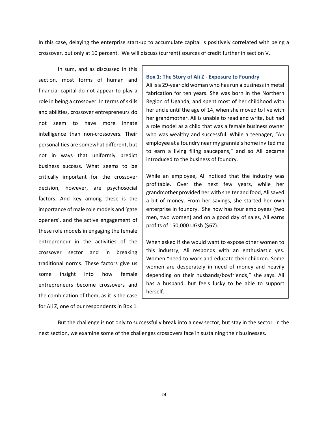In this case, delaying the enterprise start-up to accumulate capital is positively correlated with being a crossover, but only at 10 percent. We will discuss (current) sources of credit further in section V.

In sum, and as discussed in this section, most forms of human and financial capital do not appear to play a role in being a crossover. In terms of skills and abilities, crossover entrepreneurs do not seem to have more innate intelligence than non‐crossovers. Their personalities are somewhat different, but not in ways that uniformly predict business success. What seems to be critically important for the crossover decision, however, are psychosocial factors. And key among these is the importance of male role models and 'gate openers', and the active engagement of these role models in engaging the female entrepreneur in the activities of the crossover sector and in breaking traditional norms. These factors give us some insight into how female entrepreneurs become crossovers and the combination of them, as it is the case for Ali Z, one of our respondents in Box 1.

#### **Box 1: The Story of Ali Z ‐ Exposure to Foundry**

Ali is a 29-year old woman who has run a business in metal fabrication for ten years. She was born in the Northern Region of Uganda, and spent most of her childhood with her uncle until the age of 14, when she moved to live with her grandmother. Ali is unable to read and write, but had a role model as a child that was a female business owner who was wealthy and successful. While a teenager, "An employee at a foundry near my grannie's home invited me to earn a living filing saucepans," and so Ali became introduced to the business of foundry.

While an employee, Ali noticed that the industry was profitable. Over the next few years, while her grandmother provided her with shelter and food, Alisaved a bit of money. From her savings, she started her own enterprise in foundry. She now has four employees (two men, two women) and on a good day of sales, Ali earns profits of 150,000 UGsh (\$67).

When asked if she would want to expose other women to this industry, Ali responds with an enthusiastic yes. Women "need to work and educate their children. Some women are desperately in need of money and heavily depending on their husbands/boyfriends," she says. Ali has a husband, but feels lucky to be able to support herself.

But the challenge is not only to successfully break into a new sector, but stay in the sector. In the next section, we examine some of the challenges crossovers face in sustaining their businesses.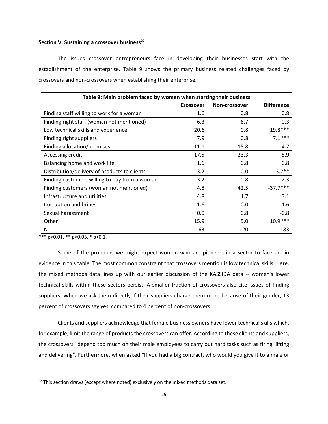#### **Section V: Sustaining a crossover business<sup>22</sup>**

The issues crossover entrepreneurs face in developing their businesses start with the establishment of the enterprise. Table 9 shows the primary business related challenges faced by crossovers and non‐crossovers when establishing their enterprise.

| Table 9: Main problem faced by women when starting their business |                  |               |                   |  |  |
|-------------------------------------------------------------------|------------------|---------------|-------------------|--|--|
|                                                                   | <b>Crossover</b> | Non-crossover | <b>Difference</b> |  |  |
| Finding staff willing to work for a woman                         | 1.6              | 0.8           | 0.8               |  |  |
| Finding right staff (woman not mentioned)                         | 6.3              | 6.7           | $-0.3$            |  |  |
| Low technical skills and experience                               | 20.6             | 0.8           | 19.8***           |  |  |
| Finding right suppliers                                           | 7.9              | 0.8           | $7.1***$          |  |  |
| Finding a location/premises                                       | 11.1             | 15.8          | $-4.7$            |  |  |
| Accessing credit                                                  | 17.5             | 23.3          | $-5.9$            |  |  |
| Balancing home and work life                                      | 1.6              | 0.8           | 0.8               |  |  |
| Distribution/delivery of products to clients                      | 3.2              | 0.0           | $3.2**$           |  |  |
| Finding customers willing to buy from a woman                     | 3.2              | 0.8           | 2.3               |  |  |
| Finding customers (woman not mentioned)                           | 4.8              | 42.5          | $-37.7***$        |  |  |
| Infrastructure and utilities                                      | 4.8              | 1.7           | 3.1               |  |  |
| Corruption and bribes                                             | 1.6              | 0.0           | 1.6               |  |  |
| Sexual harassment                                                 | 0.0              | 0.8           | $-0.8$            |  |  |
| Other                                                             | 15.9             | 5.0           | $10.9***$         |  |  |
| N                                                                 | 63               | 120           | 183               |  |  |

\*\*\* p<0.01, \*\* p<0.05, \* p<0.1.

Some of the problems we might expect women who are pioneers in a sector to face are in evidence in this table. The most common constraint that crossovers mention is low technical skills. Here, the mixed methods data lines up with our earlier discussion of the KASSIDA data ‐‐ women's lower technical skills within these sectors persist. A smaller fraction of crossovers also cite issues of finding suppliers. When we ask them directly if their suppliers charge them more because of their gender, 13 percent of crossovers say yes, compared to 4 percent of non-crossovers.

Clients and suppliers acknowledge that female business owners have lower technical skills which, for example, limit the range of products the crossovers can offer. According to these clients and suppliers, the crossovers "depend too much on their male employees to carry out hard tasks such as firing, lifting and delivering". Furthermore, when asked "If you had a big contract, who would you give it to a male or

 $22$  This section draws (except where noted) exclusively on the mixed methods data set.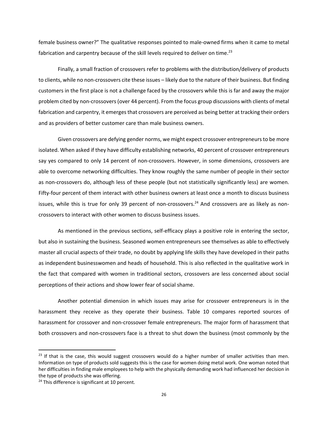female business owner?" The qualitative responses pointed to male-owned firms when it came to metal fabrication and carpentry because of the skill levels required to deliver on time.<sup>23</sup>

Finally, a small fraction of crossovers refer to problems with the distribution/delivery of products to clients, while no non-crossovers cite these issues – likely due to the nature of their business. But finding customers in the first place is not a challenge faced by the crossovers while this is far and away the major problem cited by non‐crossovers(over 44 percent). From the focus group discussions with clients of metal fabrication and carpentry, it emerges that crossovers are perceived as being better at tracking their orders and as providers of better customer care than male business owners.

Given crossovers are defying gender norms, we might expect crossover entrepreneursto be more isolated. When asked if they have difficulty establishing networks, 40 percent of crossover entrepreneurs say yes compared to only 14 percent of non-crossovers. However, in some dimensions, crossovers are able to overcome networking difficulties. They know roughly the same number of people in their sector as non-crossovers do, although less of these people (but not statistically significantly less) are women. Fifty-four percent of them interact with other business owners at least once a month to discuss business issues, while this is true for only 39 percent of non-crossovers.<sup>24</sup> And crossovers are as likely as noncrossovers to interact with other women to discuss business issues.

As mentioned in the previous sections, self-efficacy plays a positive role in entering the sector, but also in sustaining the business. Seasoned women entrepreneurs see themselves as able to effectively master all crucial aspects of their trade, no doubt by applying life skills they have developed in their paths as independent businesswomen and heads of household. This is also reflected in the qualitative work in the fact that compared with women in traditional sectors, crossovers are less concerned about social perceptions of their actions and show lower fear of social shame.

Another potential dimension in which issues may arise for crossover entrepreneurs is in the harassment they receive as they operate their business. Table 10 compares reported sources of harassment for crossover and non-crossover female entrepreneurs. The major form of harassment that both crossovers and non‐crossovers face is a threat to shut down the business (most commonly by the

 $23$  If that is the case, this would suggest crossovers would do a higher number of smaller activities than men. Information on type of products sold suggests this is the case for women doing metal work. One woman noted that her difficulties in finding male employees to help with the physically demanding work had influenced her decision in the type of products she was offering.

<sup>&</sup>lt;sup>24</sup> This difference is significant at 10 percent.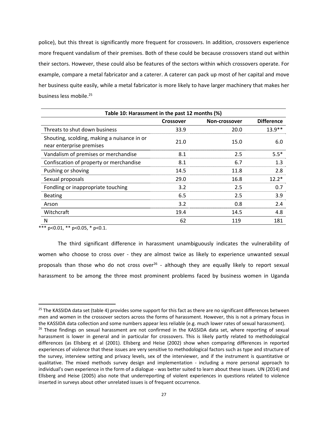police), but this threat is significantly more frequent for crossovers. In addition, crossovers experience more frequent vandalism of their premises. Both of these could be because crossovers stand out within their sectors. However, these could also be features of the sectors within which crossovers operate. For example, compare a metal fabricator and a caterer. A caterer can pack up most of her capital and move her business quite easily, while a metal fabricator is more likely to have larger machinery that makes her business less mobile.25

| Table 10: Harassment in the past 12 months (%)                          |                                   |      |                   |  |  |  |
|-------------------------------------------------------------------------|-----------------------------------|------|-------------------|--|--|--|
|                                                                         | Non-crossover<br><b>Crossover</b> |      | <b>Difference</b> |  |  |  |
| Threats to shut down business                                           | 33.9                              | 20.0 | $13.9**$          |  |  |  |
| Shouting, scolding, making a nuisance in or<br>near enterprise premises | 21.0                              | 15.0 | 6.0               |  |  |  |
| Vandalism of premises or merchandise                                    | 8.1                               | 2.5  | $5.5*$            |  |  |  |
| Confiscation of property or merchandise                                 | 8.1                               | 6.7  | 1.3               |  |  |  |
| Pushing or shoving                                                      | 14.5                              | 11.8 | 2.8               |  |  |  |
| Sexual proposals                                                        | 29.0                              | 16.8 | $12.2*$           |  |  |  |
| Fondling or inappropriate touching                                      | 3.2                               | 2.5  | 0.7               |  |  |  |
| <b>Beating</b>                                                          | 6.5                               | 2.5  | 3.9               |  |  |  |
| Arson                                                                   | 3.2                               | 0.8  | 2.4               |  |  |  |
| Witchcraft                                                              | 19.4                              | 14.5 | 4.8               |  |  |  |
| N                                                                       | 62                                | 119  | 181               |  |  |  |

\*\*\*  $p<0.01$ , \*\*  $p<0.05$ , \*  $p<0.1$ .

The third significant difference in harassment unambiguously indicates the vulnerability of women who choose to cross over - they are almost twice as likely to experience unwanted sexual proposals than those who do not cross over<sup>26</sup> - although they are equally likely to report sexual harassment to be among the three most prominent problems faced by business women in Uganda

 $25$  The KASSIDA data set (table 4) provides some support for this fact as there are no significant differences between men and women in the crossover sectors across the forms of harassment. However, this is not a primary focus in the KASSIDA data collection and some numbers appear less reliable (e.g. much lower rates of sexual harassment).

<sup>&</sup>lt;sup>26</sup> These findings on sexual harassment are not confirmed in the KASSIDA data set, where reporting of sexual harassment is lower in general and in particular for crossovers. This is likely partly related to methodological differences (as Ellsberg et al (2001). Ellsberg and Heise (2002) show when comparing differences in reported experiences of violence that these issues are very sensitive to methodological factors such as type and structure of the survey, interview setting and privacy levels, sex of the interviewer, and if the instrument is quantitative or qualitative. The mixed methods survey design and implementation ‐ including a more personal approach to individual's own experience in the form of a dialogue - was better suited to learn about these issues. UN (2014) and Ellsberg and Heise (2005) also note that underreporting of violent experiences in questions related to violence inserted in surveys about other unrelated issues is of frequent occurrence.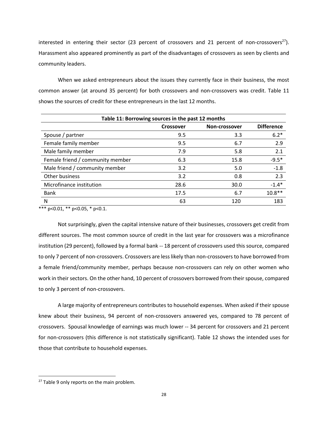interested in entering their sector (23 percent of crossovers and 21 percent of non-crossovers<sup>27</sup>). Harassment also appeared prominently as part of the disadvantages of crossovers as seen by clients and community leaders.

When we asked entrepreneurs about the issues they currently face in their business, the most common answer (at around 35 percent) for both crossovers and non‐crossovers was credit. Table 11 shows the sources of credit for these entrepreneurs in the last 12 months.

| Table 11: Borrowing sources in the past 12 months |                                   |      |                   |  |  |  |
|---------------------------------------------------|-----------------------------------|------|-------------------|--|--|--|
|                                                   | Non-crossover<br><b>Crossover</b> |      | <b>Difference</b> |  |  |  |
| Spouse / partner                                  | 9.5                               | 3.3  | $6.2*$            |  |  |  |
| Female family member                              | 9.5                               | 6.7  | 2.9               |  |  |  |
| Male family member                                | 7.9                               | 5.8  | 2.1               |  |  |  |
| Female friend / community member                  | 6.3                               | 15.8 | $-9.5*$           |  |  |  |
| Male friend / community member                    | 3.2                               | 5.0  | $-1.8$            |  |  |  |
| Other business                                    | 3.2                               | 0.8  | 2.3               |  |  |  |
| Microfinance institution                          | 28.6                              | 30.0 | $-1.4*$           |  |  |  |
| <b>Bank</b>                                       | 17.5                              | 6.7  | $10.8**$          |  |  |  |
| N                                                 | 63                                | 120  | 183               |  |  |  |

\*\*\*  $p<0.01$ , \*\*  $p<0.05$ , \*  $p<0.1$ .

Not surprisingly, given the capital intensive nature of their businesses, crossovers get credit from different sources. The most common source of credit in the last year for crossovers was a microfinance institution (29 percent), followed by a formal bank ‐‐ 18 percent of crossovers used this source, compared to only 7 percent of non-crossovers. Crossovers are less likely than non-crossovers to have borrowed from a female friend/community member, perhaps because non-crossovers can rely on other women who work in their sectors. On the other hand, 10 percent of crossovers borrowed from their spouse, compared to only 3 percent of non‐crossovers.

A large majority of entrepreneurs contributes to household expenses. When asked if their spouse knew about their business, 94 percent of non‐crossovers answered yes, compared to 78 percent of crossovers. Spousal knowledge of earnings was much lower ‐‐ 34 percent for crossovers and 21 percent for non-crossovers (this difference is not statistically significant). Table 12 shows the intended uses for those that contribute to household expenses.

<sup>&</sup>lt;sup>27</sup> Table 9 only reports on the main problem.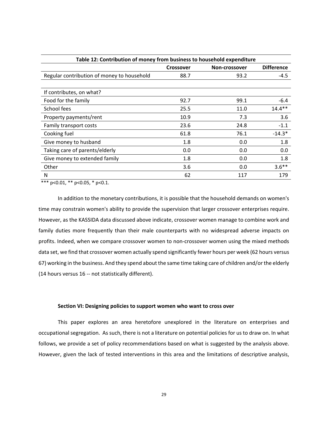| Table 12: Contribution of money from business to household expenditure |                  |               |                   |  |  |
|------------------------------------------------------------------------|------------------|---------------|-------------------|--|--|
|                                                                        | <b>Crossover</b> | Non-crossover | <b>Difference</b> |  |  |
| Regular contribution of money to household                             | 88.7             | 93.2          | -4.5              |  |  |
|                                                                        |                  |               |                   |  |  |
| If contributes, on what?                                               |                  |               |                   |  |  |
| Food for the family                                                    | 92.7             | 99.1          | $-6.4$            |  |  |
| School fees                                                            | 25.5             | 11.0          | $14.4***$         |  |  |
| Property payments/rent                                                 | 10.9             | 7.3           | 3.6               |  |  |
| Family transport costs                                                 | 23.6             | 24.8          | $-1.1$            |  |  |
| Cooking fuel                                                           | 61.8             | 76.1          | $-14.3*$          |  |  |
| Give money to husband                                                  | 1.8              | 0.0           | 1.8               |  |  |
| Taking care of parents/elderly                                         | 0.0              | 0.0           | 0.0               |  |  |
| Give money to extended family                                          | 1.8              | 0.0           | 1.8               |  |  |
| Other                                                                  | 3.6              | 0.0           | $3.6***$          |  |  |
| N                                                                      | 62               | 117           | 179               |  |  |

\*\*\* p<0.01, \*\* p<0.05, \* p<0.1.

In addition to the monetary contributions, it is possible that the household demands on women's time may constrain women's ability to provide the supervision that larger crossover enterprises require. However, as the KASSIDA data discussed above indicate, crossover women manage to combine work and family duties more frequently than their male counterparts with no widespread adverse impacts on profits. Indeed, when we compare crossover women to non‐crossover women using the mixed methods data set, we find that crossover women actually spend significantly fewer hours per week (62 hours versus 67) working in the business. And they spend about the same time taking care of children and/orthe elderly (14 hours versus 16 ‐‐ not statistically different).

#### **Section VI: Designing policies to support women who want to cross over**

This paper explores an area heretofore unexplored in the literature on enterprises and occupational segregation. As such, there is not a literature on potential policies for us to draw on. In what follows, we provide a set of policy recommendations based on what is suggested by the analysis above. However, given the lack of tested interventions in this area and the limitations of descriptive analysis,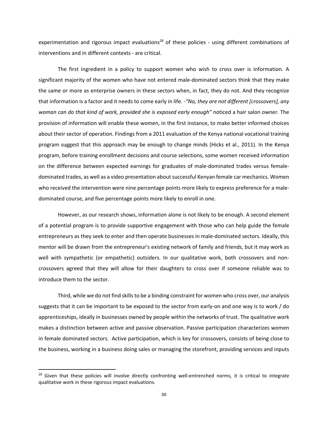experimentation and rigorous impact evaluations<sup>28</sup> of these policies - using different combinations of interventions and in different contexts ‐ are critical.

The first ingredient in a policy to support women who wish to cross over is information. A significant majority of the women who have not entered male-dominated sectors think that they make the same or more as enterprise owners in these sectors when, in fact, they do not. And they recognize that information is a factor and it needs to come early in life. ‐*"No, they are not different [crossovers], any woman can do that kind of work, provided she is exposed early enough"* noticed a hair salon owner*.* The provision of information will enable these women, in the first instance, to make better informed choices about their sector of operation. Findings from a 2011 evaluation of the Kenya national vocational training program suggest that this approach may be enough to change minds (Hicks et al., 2011). In the Kenya program, before training enrollment decisions and course selections, some women received information on the difference between expected earnings for graduates of male‐dominated trades versus female‐ dominated trades, as well as a video presentation about successful Kenyan female car mechanics. Women who received the intervention were nine percentage points more likely to express preference for a maledominated course, and five percentage points more likely to enroll in one.

However, as our research shows, information alone is not likely to be enough. A second element of a potential program is to provide supportive engagement with those who can help guide the female entrepreneurs as they seek to enter and then operate businesses in male-dominated sectors. Ideally, this mentor will be drawn from the entrepreneur's existing network of family and friends, but it may work as well with sympathetic (or empathetic) outsiders. In our qualitative work, both crossovers and noncrossovers agreed that they will allow for their daughters to cross over if someone reliable was to introduce them to the sector.

Third, while we do not find skills to be a binding constraint for women who cross over, our analysis suggests that it can be important to be exposed to the sector from early-on and one way is to work / do apprenticeships, ideally in businesses owned by people within the networks of trust. The qualitative work makes a distinction between active and passive observation. Passive participation characterizes women in female dominated sectors. Active participation, which is key for crossovers, consists of being close to the business, working in a business doing sales or managing the storefront, providing services and inputs

<sup>&</sup>lt;sup>28</sup> Given that these policies will involve directly confronting well-entrenched norms, it is critical to integrate qualitative work in these rigorous impact evaluations.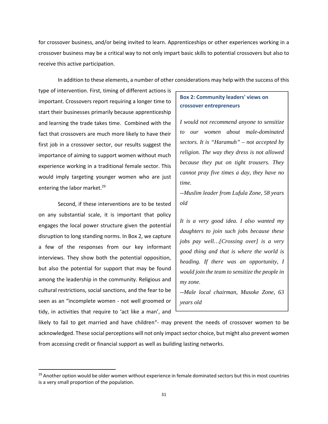for crossover business, and/or being invited to learn. Apprenticeships or other experiences working in a crossover business may be a critical way to not only impart basic skills to potential crossovers but also to receive this active participation.

In addition to these elements, a number of other considerations may help with the success of this

type of intervention. First, timing of different actions is important. Crossovers report requiring a longer time to start their businesses primarily because apprenticeship and learning the trade takes time. Combined with the fact that crossovers are much more likely to have their first job in a crossover sector, our results suggest the importance of aiming to support women without much experience working in a traditional female sector. This would imply targeting younger women who are just entering the labor market.<sup>29</sup>

Second, if these interventions are to be tested on any substantial scale, it is important that policy engages the local power structure given the potential disruption to long standing norms. In Box 2, we capture a few of the responses from our key informant interviews. They show both the potential opposition, but also the potential for support that may be found among the leadership in the community. Religious and cultural restrictions, social sanctions, and the fear to be seen as an "incomplete women ‐ not well groomed or tidy, in activities that require to 'act like a man', and

## **Box 2: Community leaders' views on crossover entrepreneurs**

*I would not recommend anyone to sensitize to our women about male-dominated sectors. It is "Haramuh" – not accepted by religion. The way they dress is not allowed because they put on tight trousers. They cannot pray five times a day, they have no time.* 

*--Muslim leader from Lufula Zone, 58 years old* 

*It is a very good idea. I also wanted my daughters to join such jobs because these jobs pay well…[Crossing over] is a very good thing and that is where the world is heading. If there was an opportunity, I would join the team to sensitize the people in my zone.* 

*--Male local chairman, Musoke Zone, 63 years old* 

likely to fail to get married and have children"‐ may prevent the needs of crossover women to be acknowledged. These social perceptions will not only impact sector choice, but might also prevent women from accessing credit or financial support as well as building lasting networks.

<sup>&</sup>lt;sup>29</sup> Another option would be older women without experience in female dominated sectors but this in most countries is a very small proportion of the population.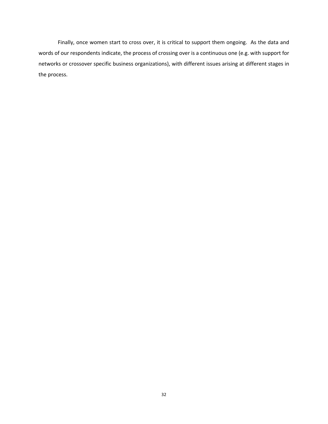Finally, once women start to cross over, it is critical to support them ongoing. As the data and words of our respondents indicate, the process of crossing over is a continuous one (e.g. with support for networks or crossover specific business organizations), with different issues arising at different stages in the process.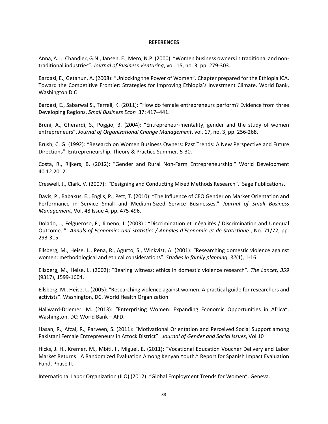#### **REFERENCES**

Anna, A.L., Chandler, G.N., Jansen, E., Mero, N.P. (2000): "Women business owners in traditional and nontraditional industries". *Journal of Business Venturing*, vol. 15, no. 3, pp. 279‐303.

Bardasi, E., Getahun, A. (2008): "Unlocking the Power of Women". Chapter prepared for the Ethiopia ICA. Toward the Competitive Frontier: Strategies for Improving Ethiopia's Investment Climate. World Bank, Washington D.C

Bardasi, E., Sabarwal S., Terrell, K. (2011): "How do female entrepreneurs perform? Evidence from three Developing Regions. *Small Business Econ* 37: 417–441.

Bruni, A., Gherardi, S., Poggio, B. (2004): "Entrepreneur-mentality, gender and the study of women entrepreneurs". *Journal of Organizational Change Management*, vol. 17, no. 3, pp. 256‐268.

Brush, C. G. (1992): "Research on Women Business Owners: Past Trends: A New Perspective and Future Directions". Entrepreneurship, Theory & Practice Summer, 5‐30.

Costa, R., Rijkers, B. (2012): "Gender and Rural Non‐Farm Entrepreneurship." World Development 40.12.2012.

Creswell, J., Clark, V. (2007): "Designing and Conducting Mixed Methods Research". Sage Publications.

Davis, P., Babakus, E., Englis, P., Pett, T. (2010): "The Influence of CEO Gender on Market Orientation and Performance in Service Small and Medium‐Sized Service Businesses." *Journal of Small Business Management*, Vol. 48 Issue 4, pp. 475‐496.

Dolado, J., Felgueroso, F., Jimeno, J. (2003) : "Discrimination et inégalités / Discrimination and Unequal Outcome. " *Annals of Economics and Statistics / Annales d'Économie et de Statistique* , No. 71/72, pp. 293‐315.

Ellsberg, M., Heise, L., Pena, R., Agurto, S., Winkvist, A. (2001): "Researching domestic violence against women: methodological and ethical considerations". *Studies in family planning*, *32*(1), 1‐16.

Ellsberg, M., Heise, L. (2002): "Bearing witness: ethics in domestic violence research". *The Lancet*, *359* (9317), 1599‐1604.

Ellsberg, M., Heise, L. (2005): "Researching violence against women. A practical guide for researchers and activists". Washington, DC. World Health Organization.

Hallward-Driemer, M. (2013): "Enterprising Women: Expanding Economic Opportunities in Africa". Washington, DC: World Bank – AFD.

Hasan, R., Afzal, R., Parveen, S. (2011): "Motivational Orientation and Perceived Social Support among Pakistani Female Entrepreneurs in Attock District". *Journal of Gender and Social Issues*, Vol 10

Hicks, J. H., Kremer, M., Mbiti, I., Miguel, E. (2011): "Vocational Education Voucher Delivery and Labor Market Returns: A Randomized Evaluation Among Kenyan Youth." Report for Spanish Impact Evaluation Fund, Phase II.

International Labor Organization (ILO) (2012): "Global Employment Trends for Women". Geneva.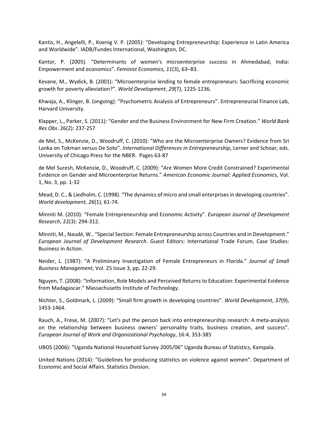Kantis, H., Angelelli, P., Koenig V. P. (2005): "Developing Entrepreneurship: Experience in Latin America and Worldwide". IADB/Fundes International, Washington, DC.

Kantor, P. (2005). "Determinants of women's microenterprise success in Ahmedabad, India: Empowerment and economics". *Feminist Economics, 11*(3), 63–83.

Kevane, M., Wydick, B. (2001): "Microenterprise lending to female entrepreneurs: Sacrificing economic growth for poverty alleviation?". *World Development*, *29*(7), 1225‐1236.

Khwaja, A., Klinger, B. (ongoing): "Psychometric Analysis of Entrepreneurs". Entrepreneurial Finance Lab, Harvard University.

Klapper, L., Parker, S. (2011): "Gender and the Business Environment for New Firm Creation." *World Bank Res Obs*. 26(2): 237‐257

de Mel, S., McKenzie, D., Woodruff, C. (2010): "Who are the Microenterprise Owners? Evidence from Sri Lanka on Tokman versus De Soto". *International Differences in Entrepreneurship*, Lerner and Schoar, eds. University of Chicago Press for the NBER. Pages 63‐87

de Mel Suresh, McKenzie, D., Woodruff, C. (2009): "Are Women More Credit Constrained? Experimental Evidence on Gender and Microenterprise Returns." *American Economic Journal: Applied Economic*s, Vol. 1, No. 3, pp. 1‐32

Mead, D. C., & Liedholm, C. (1998). "The dynamics of micro and small enterprisesin developing countries". *World development*, *26*(1), 61‐74.

Minniti M. (2010): "Female Entrepreneurship and Economic Activity". *European Journal of Development Research*, 22(3): 294‐312.

Minniti, M., Naudé, W.. "Special Section: Female Entrepreneurship across Countries and in Development." *European Journal of Development Research*. Guest Editors: International Trade Forum, Case Studies: Business in Action.

Neider, L. (1987): "A Preliminary Investigation of Female Entrepreneurs in Florida." *Journal of Small Business Management*, Vol. 25 Issue 3, pp. 22‐29.

Nguyen, T. (2008): "Information, Role Models and Perceived Returnsto Education: Experimental Evidence from Madagascar." Massachusetts Institute of Technology.

Nichter, S., Goldmark, L. (2009): "Small firm growth in developing countries". *World Development*, *37*(9), 1453‐1464.

Rauch, A., Frese, M. (2007): "Let's put the person back into entrepreneurship research: A meta‐analysis on the relationship between business owners' personality traits, business creation, and success". *European Journal of Work and Organizational Psychology*, 16:4, 353‐385

UBOS (2006): "Uganda National Household Survey 2005/06" Uganda Bureau of Statistics, Kampala.

United Nations (2014): "Guidelines for producing statistics on violence against women". Department of Economic and Social Affairs. Statistics Division.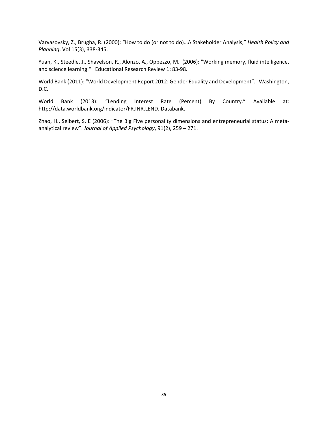Varvasovsky, Z., Brugha, R. (2000): "How to do (or not to do)…A Stakeholder Analysis," *Health Policy and Planning*, Vol 15(3), 338‐345.

Yuan, K., Steedle, J., Shavelson, R., Alonzo, A., Oppezzo, M. (2006): "Working memory, fluid intelligence, and science learning." Educational Research Review 1: 83‐98.

World Bank (2011): "World Development Report 2012: Gender Equality and Development". Washington, D.C.

World Bank (2013): "Lending Interest Rate (Percent) By Country." Available at: http://data.worldbank.org/indicator/FR.INR.LEND. Databank.

Zhao, H., Seibert, S. E (2006): "The Big Five personality dimensions and entrepreneurial status: A meta‐ analytical review". *Journal of Applied Psychology*, 91(2), 259 – 271.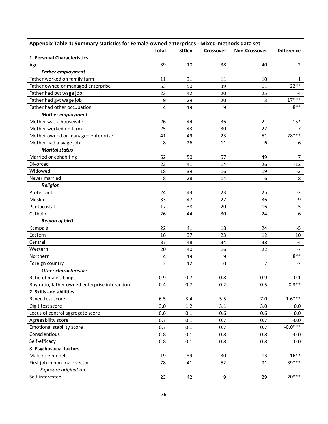| Appendix Table 1: Summary statistics for Female-owned enterprises - Mixed-methods data set |                |              |                  |                      |                   |
|--------------------------------------------------------------------------------------------|----------------|--------------|------------------|----------------------|-------------------|
|                                                                                            | <b>Total</b>   | <b>StDev</b> | <b>Crossover</b> | <b>Non-Crossover</b> | <b>Difference</b> |
| 1. Personal Characteristics                                                                |                |              |                  |                      |                   |
| Age                                                                                        | 39             | 10           | 38               | 40                   | $-2$              |
| <b>Father employment</b>                                                                   |                |              |                  |                      |                   |
| Father worked on family farm                                                               | 11             | 31           | 11               | 10                   | 1                 |
| Father owned or managed enterprise                                                         | 53             | 50           | 39               | 61                   | $-22**$           |
| Father had pvt wage job                                                                    | 23             | 42           | 20               | 25                   | $-4$              |
| Father had gvt wage job                                                                    | 9              | 29           | 20               | 3                    | $17***$           |
| Father had other occupation                                                                | 4              | 19           | 9                | $\mathbf{1}$         | $8**$             |
| <b>Mother employment</b>                                                                   |                |              |                  |                      |                   |
| Mother was a housewife                                                                     | 26             | 44           | 36               | 21                   | $15*$             |
| Mother worked on farm                                                                      | 25             | 43           | 30               | 22                   | 7                 |
| Mother owned or managed enterprise                                                         | 41             | 49           | 23               | 51                   | $-28***$          |
| Mother had a wage job                                                                      | 8              | 26           | 11               | 6                    | 6                 |
| <b>Marital status</b>                                                                      |                |              |                  |                      |                   |
| Married or cohabiting                                                                      | 52             | 50           | 57               | 49                   | 7                 |
| Divorced                                                                                   | 22             | 41           | 14               | 26                   | $-12$             |
| Widowed                                                                                    | 18             | 39           | 16               | 19                   | $-3$              |
| Never married                                                                              | 8              | 28           | 14               | 6                    | 8                 |
| <b>Religion</b>                                                                            |                |              |                  |                      |                   |
| Protestant                                                                                 | 24             | 43           | 23               | 25                   | $-2$              |
| Muslim                                                                                     | 33             | 47           | 27               | 36                   | $-9$              |
| Pentacostal                                                                                | 17             | 38           | 20               | 16                   | 5                 |
| Catholic                                                                                   | 26             | 44           | 30               | 24                   | 6                 |
| <b>Region of birth</b>                                                                     |                |              |                  |                      |                   |
| Kampala                                                                                    | 22             | 41           | 18               | 24                   | -5                |
| Eastern                                                                                    | 16             | 37           | 23               | 12                   | 10                |
| Central                                                                                    | 37             | 48           | 34               | 38                   | $-4$              |
| Western                                                                                    | 20             | 40           | 16               | 22                   | -7                |
| Northern                                                                                   | 4              | 19           | 9                | $\mathbf{1}$         | $8***$            |
| Foreign country                                                                            | $\overline{2}$ | 12           | $\mathbf 0$      | 2                    | $-2$              |
| <b>Other characteristics</b>                                                               |                |              |                  |                      |                   |
| Ratio of male siblings                                                                     | 0.9            | 0.7          | 0.8              | 0.9                  | $-0.1$            |
| Boy ratio, father owned enterprise interaction                                             | 0.4            | 0.7          | 0.2              | 0.5                  | $-0.3**$          |
| 2. Skills and abilities                                                                    |                |              |                  |                      |                   |
| Raven test score                                                                           | 6.5            | 3.4          | 5.5              | 7.0                  | $-1.6***$         |
| Digit test score                                                                           | 3.0            | 1.2          | 3.1              | 3.0                  | 0.0               |
| Locus of control aggregate score                                                           | 0.6            | 0.1          | 0.6              | 0.6                  | 0.0               |
| Agreeability score                                                                         | 0.7            | 0.1          | 0.7              | 0.7                  | $-0.0$            |
| Emotional stability score                                                                  | 0.7            | 0.1          | 0.7              | 0.7                  | $-0.0***$         |
| Conscientious                                                                              | 0.8            | 0.1          | 0.8              | 0.8                  | $-0.0$            |
| Self-efficacy                                                                              | 0.8            | 0.1          | 0.8              | 0.8                  | 0.0               |
| 3. Psychosocial factors                                                                    |                |              |                  |                      |                   |
| Male role model                                                                            | 19             | 39           | 30               | 13                   | $16***$           |
| First job in non-male sector                                                               | 78             | 41           | 52               | 91                   | $-39***$          |
| Exposure origination                                                                       |                |              |                  |                      |                   |
| Self-interested                                                                            | 23             | 42           | $\boldsymbol{9}$ | 29                   | $-20***$          |